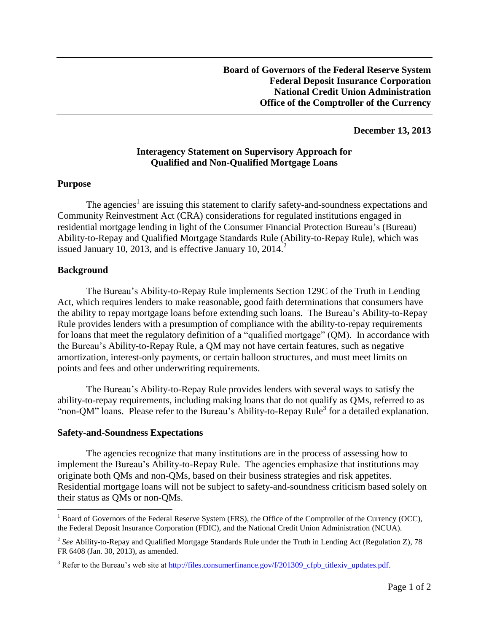### **December 13, 2013**

# **Interagency Statement on Supervisory Approach for Qualified and Non-Qualified Mortgage Loans**

#### **Purpose**

The agencies<sup>1</sup> are issuing this statement to clarify safety-and-soundness expectations and Community Reinvestment Act (CRA) considerations for regulated institutions engaged in residential mortgage lending in light of the Consumer Financial Protection Bureau's (Bureau) Ability-to-Repay and Qualified Mortgage Standards Rule (Ability-to-Repay Rule), which was issued January 10, 2013, and is effective January 10, 2014.<sup>2</sup>

#### **Background**

 $\overline{a}$ 

The Bureau's Ability-to-Repay Rule implements Section 129C of the Truth in Lending Act, which requires lenders to make reasonable, good faith determinations that consumers have the ability to repay mortgage loans before extending such loans. The Bureau's Ability-to-Repay Rule provides lenders with a presumption of compliance with the ability-to-repay requirements for loans that meet the regulatory definition of a "qualified mortgage" (QM). In accordance with the Bureau's Ability-to-Repay Rule, a QM may not have certain features, such as negative amortization, interest-only payments, or certain balloon structures, and must meet limits on points and fees and other underwriting requirements.

The Bureau's Ability-to-Repay Rule provides lenders with several ways to satisfy the ability-to-repay requirements, including making loans that do not qualify as QMs, referred to as "non-QM" loans. Please refer to the Bureau's Ability-to-Repay Rule<sup>3</sup> for a detailed explanation.

#### **Safety-and-Soundness Expectations**

The agencies recognize that many institutions are in the process of assessing how to implement the Bureau's Ability-to-Repay Rule. The agencies emphasize that institutions may originate both QMs and non-QMs, based on their business strategies and risk appetites. Residential mortgage loans will not be subject to safety-and-soundness criticism based solely on their status as QMs or non-QMs.

 $<sup>1</sup>$  Board of Governors of the Federal Reserve System (FRS), the Office of the Comptroller of the Currency (OCC),</sup> the Federal Deposit Insurance Corporation (FDIC), and the National Credit Union Administration (NCUA).

<sup>&</sup>lt;sup>2</sup> See Ability-to-Repay and Qualified Mortgage Standards Rule under the Truth in Lending Act (Regulation Z), 78 FR 6408 (Jan. 30, 2013), as amended.

<sup>&</sup>lt;sup>3</sup> Refer to the Bureau's web site at [http://files.consumerfinance.gov/f/201309\\_cfpb\\_titlexiv\\_updates.pdf.](http://files.consumerfinance.gov/f/201309_cfpb_titlexiv_updates.pdf)